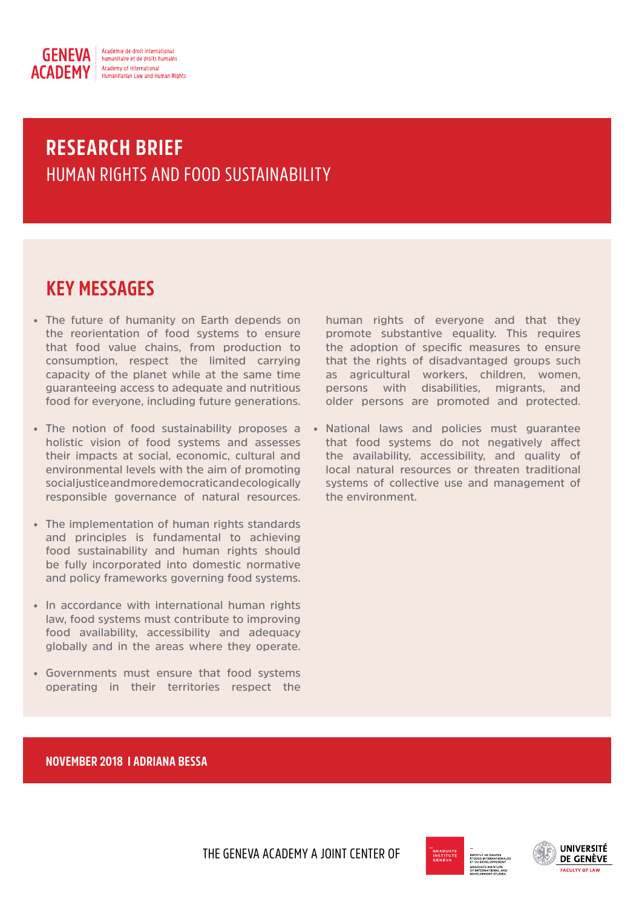

# HUMAN RIGHTS AND FOOD SUSTAINABILITY **RESEARCH BRIEF**

## **KEY MESSAGES**

- **• The future of humanity on Earth depends on the reorientation of food systems to ensure that food value chains, from production to consumption, respect the limited carrying capacity of the planet while at the same time guaranteeing access to adequate and nutritious food for everyone, including future generations.**
- **• The notion of food sustainability proposes a holistic vision of food systems and assesses their impacts at social, economic, cultural and environmental levels with the aim of promoting social justice and more democratic and ecologically responsible governance of natural resources.**
- **• The implementation of human rights standards and principles is fundamental to achieving food sustainability and human rights should be fully incorporated into domestic normative and policy frameworks governing food systems.**
- **• In accordance with international human rights law, food systems must contribute to improving food availability, accessibility and adequacy globally and in the areas where they operate.**
- **• Governments must ensure that food systems operating in their territories respect the**

**human rights of everyone and that they promote substantive equality. This requires the adoption of specific measures to ensure that the rights of disadvantaged groups such as agricultural workers, children, women, persons with disabilities, migrants, and older persons are promoted and protected.**

**• National laws and policies must guarantee that food systems do not negatively affect the availability, accessibility, and quality of local natural resources or threaten traditional systems of collective use and management of the environment.**

## **NOVEMBER 2018 I ADRIANA BESSA**

THE GENEVA ACADEMY A JOINT CENTER OF



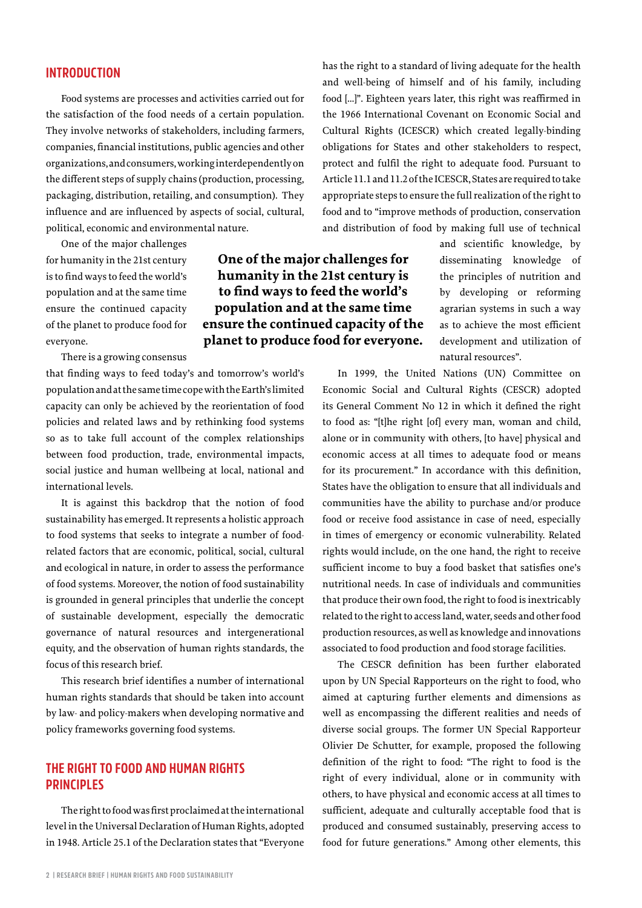#### **INTRODUCTION**

Food systems are processes and activities carried out for the satisfaction of the food needs of a certain population. They involve networks of stakeholders, including farmers, companies, financial institutions, public agencies and other organizations, and consumers, working interdependently on the different steps of supply chains (production, processing, packaging, distribution, retailing, and consumption). They influence and are influenced by aspects of social, cultural, political, economic and environmental nature.

One of the major challenges for humanity in the 21st century is to find ways to feed the world's population and at the same time ensure the continued capacity of the planet to produce food for everyone.

There is a growing consensus

that finding ways to feed today's and tomorrow's world's population and at the same time cope with the Earth's limited capacity can only be achieved by the reorientation of food policies and related laws and by rethinking food systems so as to take full account of the complex relationships between food production, trade, environmental impacts, social justice and human wellbeing at local, national and international levels.

It is against this backdrop that the notion of food sustainability has emerged. It represents a holistic approach to food systems that seeks to integrate a number of foodrelated factors that are economic, political, social, cultural and ecological in nature, in order to assess the performance of food systems. Moreover, the notion of food sustainability is grounded in general principles that underlie the concept of sustainable development, especially the democratic governance of natural resources and intergenerational equity, and the observation of human rights standards, the focus of this research brief.

This research brief identifies a number of international human rights standards that should be taken into account by law- and policy-makers when developing normative and policy frameworks governing food systems.

## **THE RIGHT TO FOOD AND HUMAN RIGHTS PRINCIPLES**

The right to food was first proclaimed at the international level in the Universal Declaration of Human Rights, adopted in 1948. Article 25.1 of the Declaration states that "Everyone

has the right to a standard of living adequate for the health and well-being of himself and of his family, including food […]". Eighteen years later, this right was reaffirmed in the 1966 International Covenant on Economic Social and Cultural Rights (ICESCR) which created legally-binding obligations for States and other stakeholders to respect, protect and fulfil the right to adequate food. Pursuant to Article 11.1 and 11.2 of the ICESCR, States are required to take appropriate steps to ensure the full realization of the right to food and to "improve methods of production, conservation and distribution of food by making full use of technical

**One of the major challenges for humanity in the 21st century is to find ways to feed the world's population and at the same time ensure the continued capacity of the planet to produce food for everyone.**

and scientific knowledge, by disseminating knowledge of the principles of nutrition and by developing or reforming agrarian systems in such a way as to achieve the most efficient development and utilization of natural resources".

In 1999, the United Nations (UN) Committee on Economic Social and Cultural Rights (CESCR) adopted its General Comment No 12 in which it defined the right to food as: "[t]he right [of] every man, woman and child, alone or in community with others, [to have] physical and economic access at all times to adequate food or means for its procurement." In accordance with this definition, States have the obligation to ensure that all individuals and communities have the ability to purchase and/or produce food or receive food assistance in case of need, especially in times of emergency or economic vulnerability. Related rights would include, on the one hand, the right to receive sufficient income to buy a food basket that satisfies one's nutritional needs. In case of individuals and communities that produce their own food, the right to food is inextricably related to the right to access land, water, seeds and other food production resources, as well as knowledge and innovations associated to food production and food storage facilities.

The CESCR definition has been further elaborated upon by UN Special Rapporteurs on the right to food, who aimed at capturing further elements and dimensions as well as encompassing the different realities and needs of diverse social groups. The former UN Special Rapporteur Olivier De Schutter, for example, proposed the following definition of the right to food: "The right to food is the right of every individual, alone or in community with others, to have physical and economic access at all times to sufficient, adequate and culturally acceptable food that is produced and consumed sustainably, preserving access to food for future generations." Among other elements, this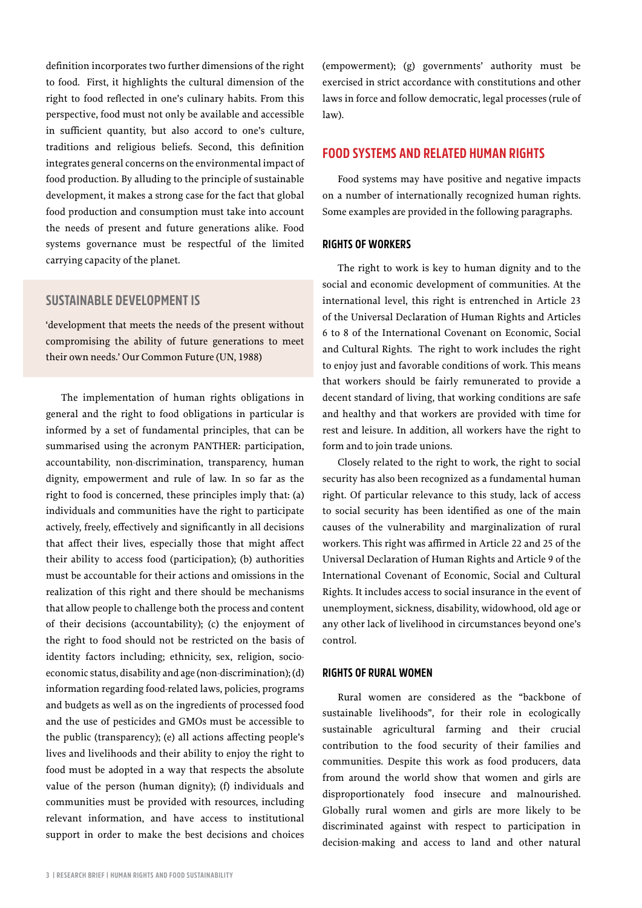definition incorporates two further dimensions of the right to food. First, it highlights the cultural dimension of the right to food reflected in one's culinary habits. From this perspective, food must not only be available and accessible in sufficient quantity, but also accord to one's culture, traditions and religious beliefs. Second, this definition integrates general concerns on the environmental impact of food production. By alluding to the principle of sustainable development, it makes a strong case for the fact that global food production and consumption must take into account the needs of present and future generations alike. Food systems governance must be respectful of the limited carrying capacity of the planet.

#### **SUSTAINABLE DEVELOPMENT IS**

'development that meets the needs of the present without compromising the ability of future generations to meet their own needs.' Our Common Future (UN, 1988)

The implementation of human rights obligations in general and the right to food obligations in particular is informed by a set of fundamental principles, that can be summarised using the acronym PANTHER: participation, accountability, non-discrimination, transparency, human dignity, empowerment and rule of law. In so far as the right to food is concerned, these principles imply that: (a) individuals and communities have the right to participate actively, freely, effectively and significantly in all decisions that affect their lives, especially those that might affect their ability to access food (participation); (b) authorities must be accountable for their actions and omissions in the realization of this right and there should be mechanisms that allow people to challenge both the process and content of their decisions (accountability); (c) the enjoyment of the right to food should not be restricted on the basis of identity factors including; ethnicity, sex, religion, socioeconomic status, disability and age (non-discrimination); (d) information regarding food-related laws, policies, programs and budgets as well as on the ingredients of processed food and the use of pesticides and GMOs must be accessible to the public (transparency); (e) all actions affecting people's lives and livelihoods and their ability to enjoy the right to food must be adopted in a way that respects the absolute value of the person (human dignity); (f) individuals and communities must be provided with resources, including relevant information, and have access to institutional support in order to make the best decisions and choices

(empowerment); (g) governments' authority must be exercised in strict accordance with constitutions and other laws in force and follow democratic, legal processes (rule of law).

#### **FOOD SYSTEMS AND RELATED HUMAN RIGHTS**

Food systems may have positive and negative impacts on a number of internationally recognized human rights. Some examples are provided in the following paragraphs.

#### **RIGHTS OF WORKERS**

The right to work is key to human dignity and to the social and economic development of communities. At the international level, this right is entrenched in Article 23 of the Universal Declaration of Human Rights and Articles 6 to 8 of the International Covenant on Economic, Social and Cultural Rights. The right to work includes the right to enjoy just and favorable conditions of work. This means that workers should be fairly remunerated to provide a decent standard of living, that working conditions are safe and healthy and that workers are provided with time for rest and leisure. In addition, all workers have the right to form and to join trade unions.

Closely related to the right to work, the right to social security has also been recognized as a fundamental human right. Of particular relevance to this study, lack of access to social security has been identified as one of the main causes of the vulnerability and marginalization of rural workers. This right was affirmed in Article 22 and 25 of the Universal Declaration of Human Rights and Article 9 of the International Covenant of Economic, Social and Cultural Rights. It includes access to social insurance in the event of unemployment, sickness, disability, widowhood, old age or any other lack of livelihood in circumstances beyond one's control.

#### **RIGHTS OF RURAL WOMEN**

Rural women are considered as the "backbone of sustainable livelihoods", for their role in ecologically sustainable agricultural farming and their crucial contribution to the food security of their families and communities. Despite this work as food producers, data from around the world show that women and girls are disproportionately food insecure and malnourished. Globally rural women and girls are more likely to be discriminated against with respect to participation in decision-making and access to land and other natural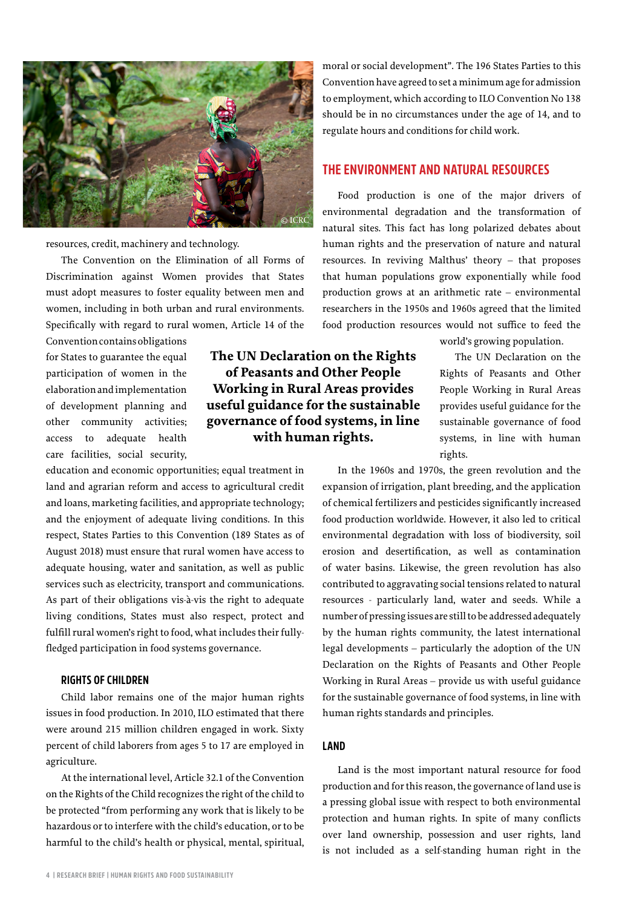

resources, credit, machinery and technology.

The Convention on the Elimination of all Forms of Discrimination against Women provides that States must adopt measures to foster equality between men and women, including in both urban and rural environments. Specifically with regard to rural women, Article 14 of the

Convention contains obligations for States to guarantee the equal participation of women in the elaboration and implementation of development planning and other community activities; access to adequate health care facilities, social security,

education and economic opportunities; equal treatment in land and agrarian reform and access to agricultural credit and loans, marketing facilities, and appropriate technology; and the enjoyment of adequate living conditions. In this respect, States Parties to this Convention (189 States as of August 2018) must ensure that rural women have access to adequate housing, water and sanitation, as well as public services such as electricity, transport and communications. As part of their obligations vis-à-vis the right to adequate living conditions, States must also respect, protect and fulfill rural women's right to food, what includes their fullyfledged participation in food systems governance.

#### **RIGHTS OF CHILDREN**

Child labor remains one of the major human rights issues in food production. In 2010, ILO estimated that there were around 215 million children engaged in work. Sixty percent of child laborers from ages 5 to 17 are employed in agriculture.

At the international level, Article 32.1 of the Convention on the Rights of the Child recognizes the right of the child to be protected "from performing any work that is likely to be hazardous or to interfere with the child's education, or to be harmful to the child's health or physical, mental, spiritual, moral or social development". The 196 States Parties to this Convention have agreed to set a minimum age for admission to employment, which according to ILO Convention No 138 should be in no circumstances under the age of 14, and to regulate hours and conditions for child work.

#### **THE ENVIRONMENT AND NATURAL RESOURCES**

Food production is one of the major drivers of environmental degradation and the transformation of natural sites. This fact has long polarized debates about human rights and the preservation of nature and natural resources. In reviving Malthus' theory – that proposes that human populations grow exponentially while food production grows at an arithmetic rate – environmental researchers in the 1950s and 1960s agreed that the limited food production resources would not suffice to feed the

> The UN Declaration on the Rights of Peasants and Other People Working in Rural Areas provides useful guidance for the sustainable governance of food systems, in line with human rights.

world's growing population.

In the 1960s and 1970s, the green revolution and the expansion of irrigation, plant breeding, and the application of chemical fertilizers and pesticides significantly increased food production worldwide. However, it also led to critical environmental degradation with loss of biodiversity, soil erosion and desertification, as well as contamination of water basins. Likewise, the green revolution has also contributed to aggravating social tensions related to natural resources - particularly land, water and seeds. While a number of pressing issues are still to be addressed adequately by the human rights community, the latest international legal developments – particularly the adoption of the UN Declaration on the Rights of Peasants and Other People Working in Rural Areas – provide us with useful guidance for the sustainable governance of food systems, in line with human rights standards and principles.

#### **LAND**

**The UN Declaration on the Rights of Peasants and Other People Working in Rural Areas provides useful guidance for the sustainable governance of food systems, in line with human rights.**

> Land is the most important natural resource for food production and for this reason, the governance of land use is a pressing global issue with respect to both environmental protection and human rights. In spite of many conflicts over land ownership, possession and user rights, land is not included as a self-standing human right in the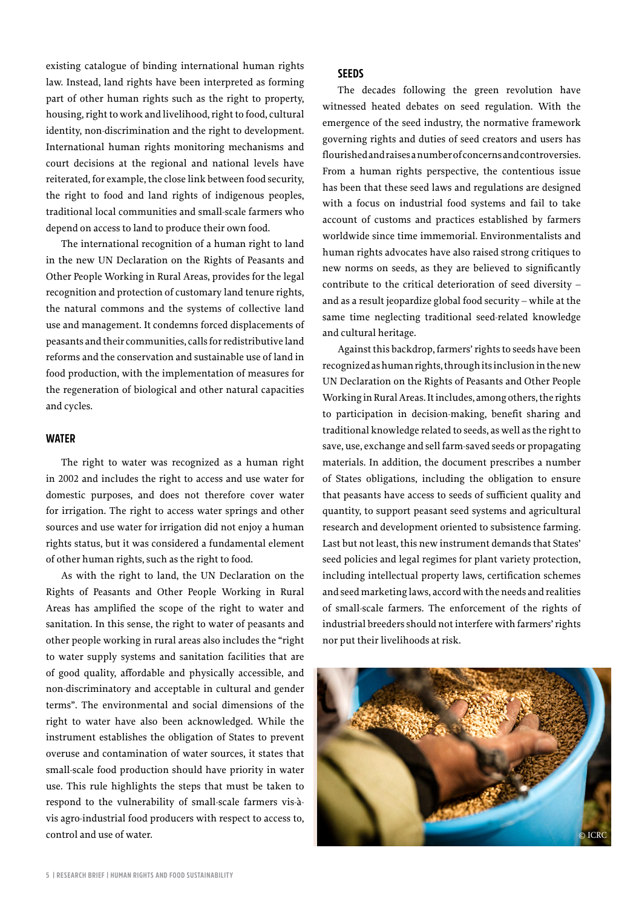existing catalogue of binding international human rights law. Instead, land rights have been interpreted as forming part of other human rights such as the right to property, housing, right to work and livelihood, right to food, cultural identity, non-discrimination and the right to development. International human rights monitoring mechanisms and court decisions at the regional and national levels have reiterated, for example, the close link between food security, the right to food and land rights of indigenous peoples, traditional local communities and small-scale farmers who depend on access to land to produce their own food.

The international recognition of a human right to land in the new UN Declaration on the Rights of Peasants and Other People Working in Rural Areas, provides for the legal recognition and protection of customary land tenure rights, the natural commons and the systems of collective land use and management. It condemns forced displacements of peasants and their communities, calls for redistributive land reforms and the conservation and sustainable use of land in food production, with the implementation of measures for the regeneration of biological and other natural capacities and cycles.

#### **WATER**

The right to water was recognized as a human right in 2002 and includes the right to access and use water for domestic purposes, and does not therefore cover water for irrigation. The right to access water springs and other sources and use water for irrigation did not enjoy a human rights status, but it was considered a fundamental element of other human rights, such as the right to food.

As with the right to land, the UN Declaration on the Rights of Peasants and Other People Working in Rural Areas has amplified the scope of the right to water and sanitation. In this sense, the right to water of peasants and other people working in rural areas also includes the "right to water supply systems and sanitation facilities that are of good quality, affordable and physically accessible, and non-discriminatory and acceptable in cultural and gender terms". The environmental and social dimensions of the right to water have also been acknowledged. While the instrument establishes the obligation of States to prevent overuse and contamination of water sources, it states that small-scale food production should have priority in water use. This rule highlights the steps that must be taken to respond to the vulnerability of small-scale farmers vis-àvis agro-industrial food producers with respect to access to, control and use of water.

#### **SEEDS**

The decades following the green revolution have witnessed heated debates on seed regulation. With the emergence of the seed industry, the normative framework governing rights and duties of seed creators and users has flourished and raises a number of concerns and controversies. From a human rights perspective, the contentious issue has been that these seed laws and regulations are designed with a focus on industrial food systems and fail to take account of customs and practices established by farmers worldwide since time immemorial. Environmentalists and human rights advocates have also raised strong critiques to new norms on seeds, as they are believed to significantly contribute to the critical deterioration of seed diversity – and as a result jeopardize global food security – while at the same time neglecting traditional seed-related knowledge and cultural heritage.

Against this backdrop, farmers' rights to seeds have been recognized as human rights, through its inclusion in the new UN Declaration on the Rights of Peasants and Other People Working in Rural Areas. It includes, among others, the rights to participation in decision-making, benefit sharing and traditional knowledge related to seeds, as well as the right to save, use, exchange and sell farm-saved seeds or propagating materials. In addition, the document prescribes a number of States obligations, including the obligation to ensure that peasants have access to seeds of sufficient quality and quantity, to support peasant seed systems and agricultural research and development oriented to subsistence farming. Last but not least, this new instrument demands that States' seed policies and legal regimes for plant variety protection, including intellectual property laws, certification schemes and seed marketing laws, accord with the needs and realities of small-scale farmers. The enforcement of the rights of industrial breeders should not interfere with farmers' rights nor put their livelihoods at risk.

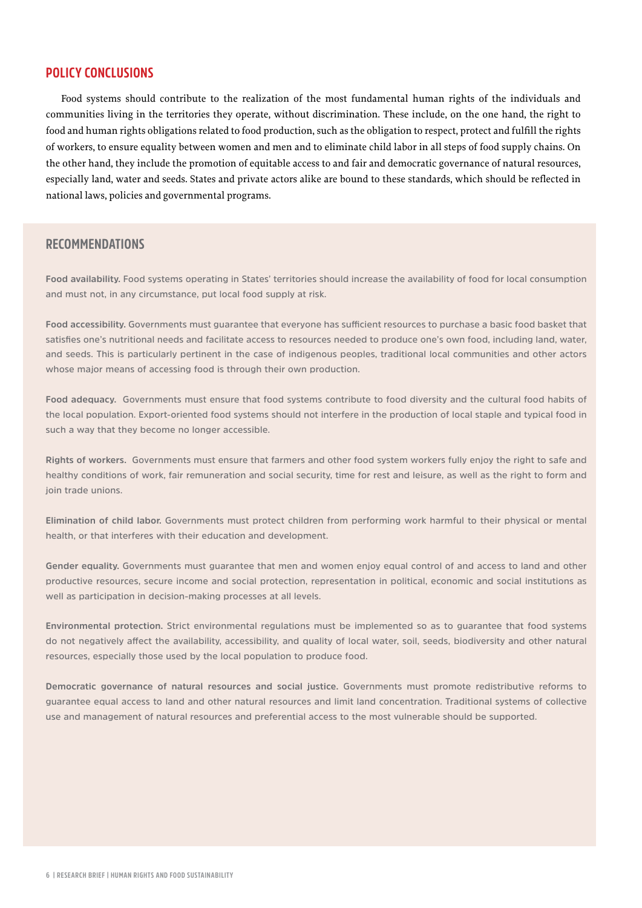#### **POLICY CONCLUSIONS**

Food systems should contribute to the realization of the most fundamental human rights of the individuals and communities living in the territories they operate, without discrimination. These include, on the one hand, the right to food and human rights obligations related to food production, such as the obligation to respect, protect and fulfill the rights of workers, to ensure equality between women and men and to eliminate child labor in all steps of food supply chains. On the other hand, they include the promotion of equitable access to and fair and democratic governance of natural resources, especially land, water and seeds. States and private actors alike are bound to these standards, which should be reflected in national laws, policies and governmental programs.

## **RECOMMENDATIONS**

**Food availability. Food systems operating in States' territories should increase the availability of food for local consumption and must not, in any circumstance, put local food supply at risk.**

**Food accessibility. Governments must guarantee that everyone has sufficient resources to purchase a basic food basket that satisfies one's nutritional needs and facilitate access to resources needed to produce one's own food, including land, water, and seeds. This is particularly pertinent in the case of indigenous peoples, traditional local communities and other actors whose major means of accessing food is through their own production.** 

**Food adequacy. Governments must ensure that food systems contribute to food diversity and the cultural food habits of the local population. Export-oriented food systems should not interfere in the production of local staple and typical food in such a way that they become no longer accessible.** 

**Rights of workers. Governments must ensure that farmers and other food system workers fully enjoy the right to safe and healthy conditions of work, fair remuneration and social security, time for rest and leisure, as well as the right to form and join trade unions.** 

**Elimination of child labor. Governments must protect children from performing work harmful to their physical or mental health, or that interferes with their education and development.**

**Gender equality. Governments must guarantee that men and women enjoy equal control of and access to land and other productive resources, secure income and social protection, representation in political, economic and social institutions as well as participation in decision-making processes at all levels.**

**Environmental protection. Strict environmental regulations must be implemented so as to guarantee that food systems do not negatively affect the availability, accessibility, and quality of local water, soil, seeds, biodiversity and other natural resources, especially those used by the local population to produce food.**

**Democratic governance of natural resources and social justice. Governments must promote redistributive reforms to guarantee equal access to land and other natural resources and limit land concentration. Traditional systems of collective use and management of natural resources and preferential access to the most vulnerable should be supported.**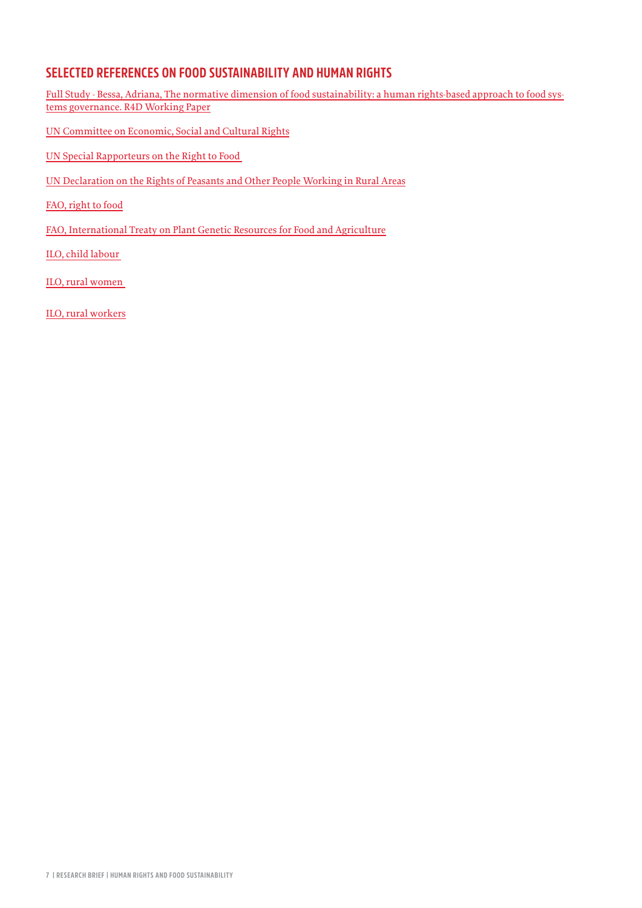## **SELECTED REFERENCES ON FOOD SUSTAINABILITY AND HUMAN RIGHTS**

[Full Study - Bessa, Adriana, The normative dimension of food sustainability: a human rights-based approach to food sys](https://www.cde.unibe.ch/unibe/portal/fak_naturwis/g_dept_kzen/b_cde/content/e65013/e542846/e542016/e810328/e810336/R4D_WP8_2019_eng.pdf)[tems governance. R4D Working Paper](https://www.cde.unibe.ch/unibe/portal/fak_naturwis/g_dept_kzen/b_cde/content/e65013/e542846/e542016/e810328/e810336/R4D_WP8_2019_eng.pdf)

- [UN Committee on Economic, Social and Cultural Rights](https://www.ohchr.org/EN/HRBodies/CESCR/pages/cescrindex.aspx)
- [UN Special Rapporteurs on the Right to Food](https://www.ohchr.org/EN/Issues/Food/Pages/FoodIndex.aspx)
- [UN Declaration on the Rights of Peasants and Other People Working in Rural Areas](https://www.geneva-academy.ch/joomlatools-files/docman-files/UN%20Declaration%20on%20the%20rights%20of%20peasants.pdf)
- [FAO, right to food](http://www.fao.org/right-to-food)
- [FAO, International Treaty on Plant Genetic Resources for Food and Agriculture](http://www.fao.org/plant-treaty/en/)
- [ILO, child labour](https://www.ilo.org/global/topics/child-labour)
- [ILO, rural women](https://www.ilo.org/global/topics/equality-and-discrimination/gender-equality/lang--en/index.htm)
- [ILO, rural workers](https://www.ilo.org/global/topics/economic-and-social-development/rural-development/lang--en/index.htm)